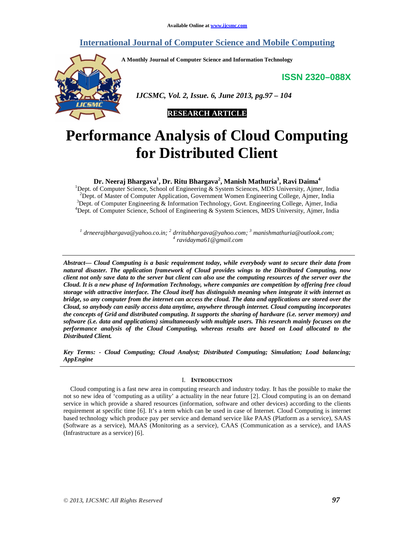## **International Journal of Computer Science and Mobile Computing**

**A Monthly Journal of Computer Science and Information Technology** 

**ISSN 2320–088X**



 *IJCSMC, Vol. 2, Issue. 6, June 2013, pg.97 – 104* 



# **Performance Analysis of Cloud Computing for Distributed Client**

## **Dr. Neeraj Bhargava<sup>1</sup> , Dr. Ritu Bhargava<sup>2</sup> , Manish Mathuria<sup>3</sup> , Ravi Daima<sup>4</sup>**

<sup>1</sup>Dept. of Computer Science, School of Engineering  $\&$  System Sciences, MDS University, Ajmer, India <sup>2</sup>Dept. of Master of Computer Application, Government Women Engineering College, Ajmer, India <sup>3</sup>Dept. of Computer Engineering & Information Technology, Govt. Engineering College, Ajmer, India <sup>4</sup>Dept. of Computer Science, School of Engineering & System Sciences, MDS University, Ajmer, India

*1 drneerajbhargava@yahoo.co.in; <sup>2</sup> drritubhargava@yahoo.com; <sup>3</sup> manishmathuria@outlook.com; 4 ravidayma61@gmail.com* 

*Abstract— Cloud Computing is a basic requirement today, while everybody want to secure their data from natural disaster. The application framework of Cloud provides wings to the Distributed Computing, now client not only save data to the server but client can also use the computing resources of the server over the Cloud. It is a new phase of Information Technology, where companies are competition by offering free cloud storage with attractive interface. The Cloud itself has distinguish meaning when integrate it with internet as bridge, so any computer from the internet can access the cloud. The data and applications are stored over the Cloud, so anybody can easily access data anytime, anywhere through internet. Cloud computing incorporates the concepts of Grid and distributed computing. It supports the sharing of hardware (i.e. server memory) and software (i.e. data and applications) simultaneously with multiple users. This research mainly focuses on the performance analysis of the Cloud Computing, whereas results are based on Load allocated to the Distributed Client.* 

*Key Terms: - Cloud Computing; Cloud Analyst; Distributed Computing; Simulation; Load balancing; AppEngine* 

## I. **INTRODUCTION**

Cloud computing is a fast new area in computing research and industry today. It has the possible to make the not so new idea of 'computing as a utility' a actuality in the near future [2]. Cloud computing is an on demand service in which provide a shared resources (information, software and other devices) according to the clients requirement at specific time [6]. It's a term which can be used in case of Internet. Cloud Computing is internet based technology which produce pay per service and demand service like PAAS (Platform as a service), SAAS (Software as a service), MAAS (Monitoring as a service), CAAS (Communication as a service), and IAAS (Infrastructure as a service) [6].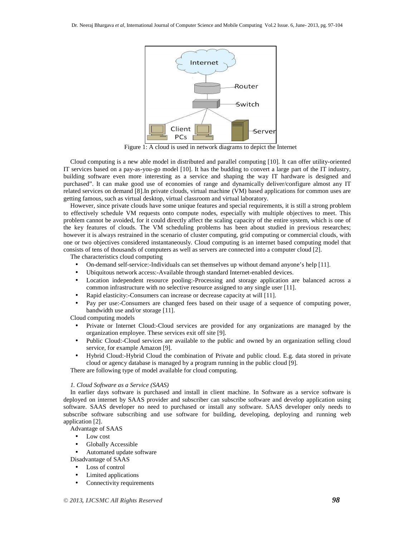

Figure 1: A cloud is used in network diagrams to depict the Internet

Cloud computing is a new able model in distributed and parallel computing [10]. It can offer utility-oriented IT services based on a pay-as-you-go model [10]. It has the budding to convert a large part of the IT industry, building software even more interesting as a service and shaping the way IT hardware is designed and purchased". It can make good use of economies of range and dynamically deliver/configure almost any IT related services on demand [8].In private clouds, virtual machine (VM) based applications for common uses are getting famous, such as virtual desktop, virtual classroom and virtual laboratory.

However, since private clouds have some unique features and special requirements, it is still a strong problem to effectively schedule VM requests onto compute nodes, especially with multiple objectives to meet. This problem cannot be avoided, for it could directly affect the scaling capacity of the entire system, which is one of the key features of clouds. The VM scheduling problems has been about studied in previous researches; however it is always restrained in the scenario of cluster computing, grid computing or commercial clouds, with one or two objectives considered instantaneously. Cloud computing is an internet based computing model that consists of tens of thousands of computers as well as servers are connected into a computer cloud [2].

The characteristics cloud computing

- On-demand self-service:-Individuals can set themselves up without demand anyone's help [11].
- Ubiquitous network access:-Available through standard Internet-enabled devices.
- Location independent resource pooling:-Processing and storage application are balanced across a common infrastructure with no selective resource assigned to any single user [11].
- Rapid elasticity: Consumers can increase or decrease capacity at will [11].
- Pay per use:-Consumers are changed fees based on their usage of a sequence of computing power, bandwidth use and/or storage [11].

Cloud computing models

- Private or Internet Cloud:-Cloud services are provided for any organizations are managed by the organization employee. These services exit off site [9].
- Public Cloud:-Cloud services are available to the public and owned by an organization selling cloud service, for example Amazon [9].
- Hybrid Cloud:-Hybrid Cloud the combination of Private and public cloud. E.g. data stored in private cloud or agency database is managed by a program running in the public cloud [9].

There are following type of model available for cloud computing.

#### *1. Cloud Software as a Service (SAAS)*

In earlier days software is purchased and install in client machine. In Software as a service software is deployed on internet by SAAS provider and subscriber can subscribe software and develop application using software. SAAS developer no need to purchased or install any software. SAAS developer only needs to subscribe software subscribing and use software for building, developing, deploying and running web application [2].

Advantage of SAAS

- Low cost
- Globally Accessible
- Automated update software

Disadvantage of SAAS

- Loss of control
- Limited applications
- Connectivity requirements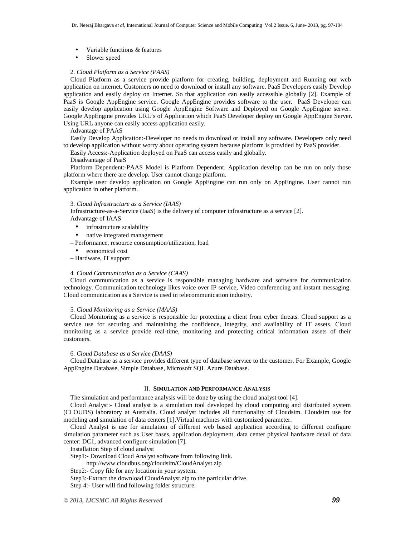- Variable functions & features
- Slower speed

## 2. *Cloud Platform as a Service (PAAS)*

Cloud Platform as a service provide platform for creating, building, deployment and Running our web application on internet. Customers no need to download or install any software. PaaS Developers easily Develop application and easily deploy on Internet. So that application can easily accessible globally [2]. Example of PaaS is Google AppEngine service. Google AppEngine provides software to the user. PaaS Developer can easily develop application using Google AppEngine Software and Deployed on Google AppEngine server. Google AppEngine provides URL's of Application which PaaS Developer deploy on Google AppEngine Server. Using URL anyone can easily access application easily.

## Advantage of PAAS

Easily Develop Application:-Developer no needs to download or install any software. Developers only need to develop application without worry about operating system because platform is provided by PaaS provider.

Easily Access:-Application deployed on PaaS can access easily and globally.

Disadvantage of PaaS

Platform Dependent:-PAAS Model is Platform Dependent. Application develop can be run on only those platform where there are develop. User cannot change platform.

Example user develop application on Google AppEngine can run only on AppEngine. User cannot run application in other platform.

## 3. *Cloud Infrastructure as a Service (IAAS)*

Infrastructure-as-a-Service (IaaS) is the delivery of computer infrastructure as a service [2].

Advantage of IAAS

- infrastructure scalability
- native integrated management
- Performance, resource consumption/utilization, load
	- economical cost
- Hardware, IT support

## 4*. Cloud Communication as a Service (CAAS)*

Cloud communication as a service is responsible managing hardware and software for communication technology. Communication technology likes voice over IP service, Video conferencing and instant messaging. Cloud communication as a Service is used in telecommunication industry.

## 5. *Cloud Monitoring as a Service (MAAS)*

Cloud Monitoring as a service is responsible for protecting a client from cyber threats. Cloud support as a service use for securing and maintaining the confidence, integrity, and availability of IT assets. Cloud monitoring as a service provide real-time, monitoring and protecting critical information assets of their customers.

## 6. *Cloud Database as a Service (DAAS)*

Cloud Database as a service provides different type of database service to the customer. For Example, Google AppEngine Database, Simple Database, Microsoft SQL Azure Database.

## II. **SIMULATION AND PERFORMANCE ANALYSIS**

The simulation and performance analysis will be done by using the cloud analyst tool [4].

Cloud Analyst:- Cloud analyst is a simulation tool developed by cloud computing and distributed system (CLOUDS) laboratory at Australia. Cloud analyst includes all functionality of Cloudsim. Cloudsim use for modeling and simulation of data centers [1].Virtual machines with customized parameter.

Cloud Analyst is use for simulation of different web based application according to different configure simulation parameter such as User bases, application deployment, data center physical hardware detail of data center: DC1, advanced configure simulation [7].

Installation Step of cloud analyst

Step1:- Download Cloud Analyst software from following link.

http://www.cloudbus.org/cloudsim/CloudAnalyst.zip

Step2:- Copy file for any location in your system.

Step3:-Extract the download CloudAnalyst.zip to the particular drive.

Step 4:- User will find following folder structure.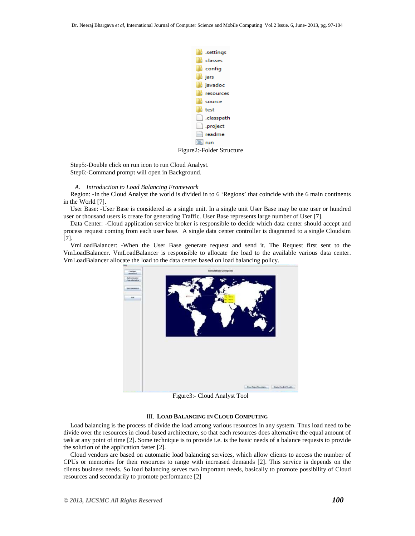

Step5:-Double click on run icon to run Cloud Analyst. Step6:-Command prompt will open in Background.

#### *A. Introduction to Load Balancing Framework*

Region: -In the Cloud Analyst the world is divided in to 6 'Regions' that coincide with the 6 main continents in the World [7].

User Base: -User Base is considered as a single unit. In a single unit User Base may be one user or hundred user or thousand users is create for generating Traffic. User Base represents large number of User [7].

Data Center: -Cloud application service broker is responsible to decide which data center should accept and process request coming from each user base. A single data center controller is diagramed to a single Cloudsim [7].

VmLoadBalancer: -When the User Base generate request and send it. The Request first sent to the VmLoadBalancer. VmLoadBalancer is responsible to allocate the load to the available various data center. VmLoadBalancer allocate the load to the data center based on load balancing policy.



Figure3:- Cloud Analyst Tool

## III. **LOAD BALANCING IN CLOUD COMPUTING**

Load balancing is the process of divide the load among various resources in any system. Thus load need to be divide over the resources in cloud-based architecture, so that each resources does alternative the equal amount of task at any point of time [2]. Some technique is to provide i.e. is the basic needs of a balance requests to provide the solution of the application faster [2].

Cloud vendors are based on automatic load balancing services, which allow clients to access the number of CPUs or memories for their resources to range with increased demands [2]. This service is depends on the clients business needs. So load balancing serves two important needs, basically to promote possibility of Cloud resources and secondarily to promote performance [2]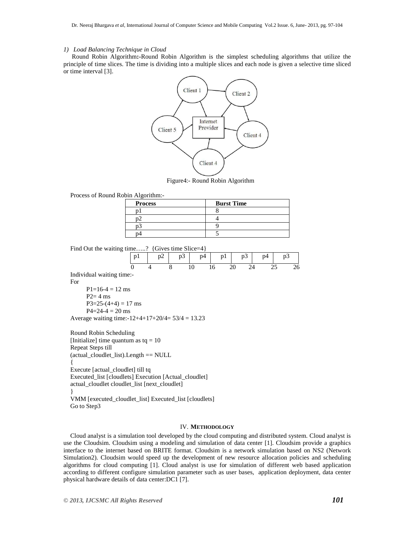## *1) Load Balancing Technique in Cloud*

 Round Robin Algorithm**:-**Round Robin Algorithm is the simplest scheduling algorithms that utilize the principle of time slices. The time is dividing into a multiple slices and each node is given a selective time sliced or time interval [3].



Figure4:- Round Robin Algorithm

Process of Round Robin Algorithm:-

| <b>Process</b> | <b>Burst Time</b> |
|----------------|-------------------|
|                |                   |
|                |                   |
|                |                   |
|                |                   |

Find Out the waiting time.....? {Gives time Slice=4}

|             |  |  |  | p1 $p2$ p3 p4 p1 p3 p4 p3 p4 p3 |
|-------------|--|--|--|---------------------------------|
| - - - - - - |  |  |  | 0 4 8 10 16 20 24 25 26         |

Individual waiting time:- For

 $P1=16-4=12$  ms  $P2=4$  ms  $P3=25-(4+4)=17$  ms  $P4=24-4=20$  ms Average waiting time: $-12+4+17+20/4= 53/4= 13.23$ 

Round Robin Scheduling [Initialize] time quantum as  $tq = 10$ Repeat Steps till (actual\_cloudlet\_list).Length == NULL { Execute [actual\_cloudlet] till tq Executed\_list [cloudlets] Execution [Actual\_cloudlet] actual\_cloudlet cloudlet\_list [next\_cloudlet] } VMM [executed\_cloudlet\_list] Executed\_list [cloudlets] Go to Step3

#### IV. **METHODOLOGY**

Cloud analyst is a simulation tool developed by the cloud computing and distributed system. Cloud analyst is use the Cloudsim. Cloudsim using a modeling and simulation of data center [1]. Cloudsim provide a graphics interface to the internet based on BRITE format. Cloudsim is a network simulation based on NS2 (Network Simulation2). Cloudsim would speed up the development of new resource allocation policies and scheduling algorithms for cloud computing [1]. Cloud analyst is use for simulation of different web based application according to different configure simulation parameter such as user bases, application deployment, data center physical hardware details of data center:DC1 [7].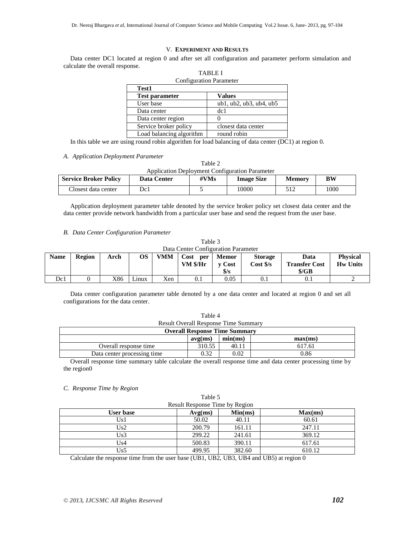## V. **EXPERIMENT AND RESULTS**

Data center DC1 located at region 0 and after set all configuration and parameter perform simulation and calculate the overall response. TABLE I

| <b>Configuration Parameter</b> |                                       |  |  |  |  |
|--------------------------------|---------------------------------------|--|--|--|--|
| <b>Test1</b>                   |                                       |  |  |  |  |
| <b>Test parameter</b>          | <b>Values</b>                         |  |  |  |  |
| User base                      | $ub1$ , $ub2$ , $ub3$ , $ub4$ , $ub5$ |  |  |  |  |
| Data center                    | dc1                                   |  |  |  |  |
| Data center region             |                                       |  |  |  |  |
| Service broker policy          | closest data center                   |  |  |  |  |
| Load balancing algorithm       | round robin                           |  |  |  |  |

In this table we are using round robin algorithm for load balancing of data center (DC1) at region 0.

## *A. Application Deployment Parameter*

| Table 2                                               |
|-------------------------------------------------------|
| <b>Application Deployment Configuration Parameter</b> |

| <b>Service Broker Policy</b> | <b>Data Center</b> | #VMs | <b>Image Size</b> | Memory | $\mathbf{R}\mathbf{W}$ |
|------------------------------|--------------------|------|-------------------|--------|------------------------|
| Closest data center          | Dc1                |      | 10000             | 51 J   | 1000                   |

Application deployment parameter table denoted by the service broker policy set closest data center and the data center provide network bandwidth from a particular user base and send the request from the user base.

## *B. Data Center Configuration Parameter*

Table 3 Data Center Configuration Parameter

| <b>Name</b> | <b>Region</b> | Arch | OS    | <b>VMM</b> | Cost<br>per<br>VM \$/Hr | <b>Memor</b><br>v Cost<br>$\frac{1}{3}$ /s | <b>Storage</b><br>Cost S/s | Data<br><b>Transfer Cost</b><br>S/GB | <b>Physical</b><br><b>Hw Units</b> |
|-------------|---------------|------|-------|------------|-------------------------|--------------------------------------------|----------------------------|--------------------------------------|------------------------------------|
| Dc1         |               | X86  | Linux | Xen        | $_{\rm 0.1}$            | 0.05                                       | $\rm 0.1$                  | $_{\rm 0.1}$                         |                                    |

Data center configuration parameter table denoted by a one data center and located at region 0 and set all configurations for the data center.

Table 4

| <b>Result Overall Response Time Summary</b>                                                                                                                                                                                           |        |       |        |  |  |  |
|---------------------------------------------------------------------------------------------------------------------------------------------------------------------------------------------------------------------------------------|--------|-------|--------|--|--|--|
| <b>Overall Response Time Summary</b>                                                                                                                                                                                                  |        |       |        |  |  |  |
| min(ms)<br>max(ms)<br>avg(ms)                                                                                                                                                                                                         |        |       |        |  |  |  |
| Overall response time                                                                                                                                                                                                                 | 310.55 | 40.11 | 617.61 |  |  |  |
| 0.32<br>0.02<br>0.86<br>Data center processing time                                                                                                                                                                                   |        |       |        |  |  |  |
| $\bigcap \ldots$ .11 arrays response to a construct of the following the construction of the construction of the following the following the state of the following the state of the following the state of the state of the state of |        |       |        |  |  |  |

Overall response time summary table calculate the overall response time and data center processing time by the region0

## *C. Response Time by Region*

| Table 5                        |                               |        |        |  |  |  |  |
|--------------------------------|-------------------------------|--------|--------|--|--|--|--|
| Result Response Time by Region |                               |        |        |  |  |  |  |
| User base                      | Min(ms)<br>Max(ms)<br>Avg(ms) |        |        |  |  |  |  |
| Us1                            | 50.02                         | 40.11  | 60.61  |  |  |  |  |
| Us2                            | 200.79                        | 161.11 | 247.11 |  |  |  |  |
| Us3                            | 299.22                        | 241.61 | 369.12 |  |  |  |  |
| Us4                            | 500.83                        | 390.11 | 617.61 |  |  |  |  |
| Us5                            | 499.95                        | 382.60 | 610.12 |  |  |  |  |

Calculate the response time from the user base (UB1, UB2, UB3, UB4 and UB5) at region 0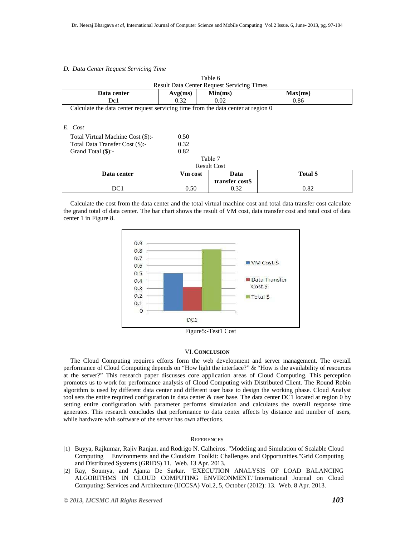## *D. Data Center Request Servicing Time*

| ladie o<br><b>Result Data Center Request Servicing Times</b> |         |         |         |  |  |
|--------------------------------------------------------------|---------|---------|---------|--|--|
| Data center                                                  | Avg(ms) | Min(ms) | Max(ms) |  |  |
| Dc1                                                          | 0.32    | 0.02    | 0.86    |  |  |

 $T<sub>11</sub>$ 

Calculate the data center request servicing time from the data center at region 0

## *E. Cost*

| Total Virtual Machine Cost (\$):-<br>Total Data Transfer Cost (\$):-<br>Grand Total $(\$)$ :- | 0.50<br>0.32<br>0.82 |                    |          |
|-----------------------------------------------------------------------------------------------|----------------------|--------------------|----------|
|                                                                                               |                      | Table 7            |          |
|                                                                                               |                      | <b>Result Cost</b> |          |
| Data center                                                                                   | <b>Vm</b> cost       | Data               | Total \$ |
|                                                                                               |                      | transfer cost\$    |          |
| DC 1                                                                                          | 0.50                 | 0.32               | 0.82     |

Calculate the cost from the data center and the total virtual machine cost and total data transfer cost calculate the grand total of data center. The bar chart shows the result of VM cost, data transfer cost and total cost of data center 1 in Figure 8.



Figure5:-Test1 Cost

## VI. **CONCLUSION**

The Cloud Computing requires efforts form the web development and server management. The overall performance of Cloud Computing depends on "How light the interface?" & "How is the availability of resources at the server?" This research paper discusses core application areas of Cloud Computing. This perception promotes us to work for performance analysis of Cloud Computing with Distributed Client. The Round Robin algorithm is used by different data center and different user base to design the working phase. Cloud Analyst tool sets the entire required configuration in data center & user base. The data center DC1 located at region 0 by setting entire configuration with parameter performs simulation and calculates the overall response time generates. This research concludes that performance to data center affects by distance and number of users, while hardware with software of the server has own affections.

## **REFERENCES**

- [1] Buyya, Rajkumar, Rajiv Ranjan, and Rodrigo N. Calheiros. "Modeling and Simulation of Scalable Cloud Computing Environments and the Cloudsim Toolkit: Challenges and Opportunities."Grid Computing and Distributed Systems (GRIDS) 11. Web. 13 Apr. 2013.
- [2] Ray, Soumya, and Ajanta De Sarkar. "EXECUTION ANALYSIS OF LOAD BALANCING ALGORITHMS IN CLOUD COMPUTING ENVIRONMENT."International Journal on Cloud Computing: Services and Architecture (IJCCSA) Vol.2,.5, October (2012): 13. Web. 8 Apr. 2013.